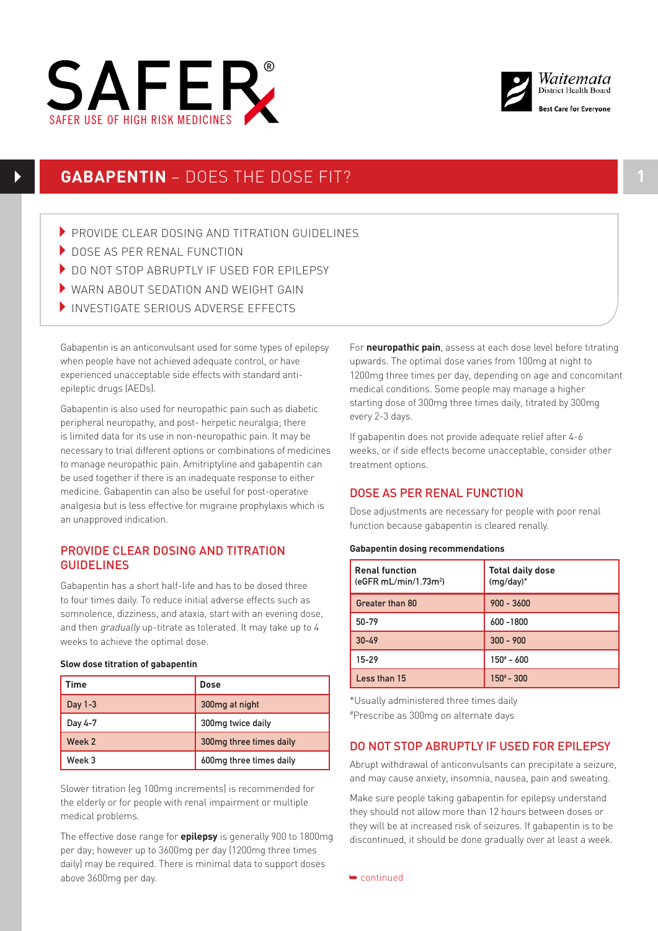



# **GABAPENTIN** – DOES THE DOSE FIT? **1**

- PROVIDE CLEAR DOSING AND TITRATION GUIDELINES
- DOSE AS PER RENAL FUNCTION
- DO NOT STOP ABRUPTLY IF USED FOR FPILEPSY
- $\blacktriangleright$  WARN ABOUT SEDATION AND WEIGHT GAIN
- SAFER USE OF HIGH RISK MEDICINES INVESTIGATE SERIOUS ADVERSE EFFECTS

Gabapentin is an anticonvulsant used for some types of epilepsy when people have not achieved adequate control, or have experienced unacceptable side effects with standard antiepileptic drugs (AEDs).

Gabapentin is also used for neuropathic pain such as diabetic peripheral neuropathy, and post- herpetic neuralgia; there is limited data for its use in non-neuropathic pain. It may be necessary to trial different options or combinations of medicines to manage neuropathic pain. Amitriptyline and gabapentin can be used together if there is an inadequate response to either medicine. Gabapentin can also be useful for post-operative analgesia but is less effective for migraine prophylaxis which is an unapproved indication.

# PROVIDE CLEAR DOSING AND TITRATION GUIDELINES

Gabapentin has a short half-life and has to be dosed three to four times daily. To reduce initial adverse effects such as somnolence, dizziness, and ataxia, start with an evening dose, and then gradually up-titrate as tolerated. It may take up to 4 weeks to achieve the optimal dose.

#### **Slow dose titration of gabapentin**

| Time      | Dose                    |
|-----------|-------------------------|
| Day $1-3$ | 300mg at night          |
| Day 4-7   | 300mg twice daily       |
| Week 2    | 300mg three times daily |
| Week 3    | 600mg three times daily |

Slower titration (eg 100mg increments) is recommended for the elderly or for people with renal impairment or multiple medical problems.

The effective dose range for **epilepsy** is generally 900 to 1800mg per day; however up to 3600mg per day (1200mg three times daily) may be required. There is minimal data to support doses above 3600mg per day.

For **neuropathic pain**, assess at each dose level before titrating upwards. The optimal dose varies from 100mg at night to 1200mg three times per day, depending on age and concomitant medical conditions. Some people may manage a higher starting dose of 300mg three times daily, titrated by 300mg every 2-3 days.

If gabapentin does not provide adequate relief after 4-6 weeks, or if side effects become unacceptable, consider other treatment options.

# DOSE AS PER RENAL FUNCTION

Dose adjustments are necessary for people with poor renal function because gabapentin is cleared renally.

#### **Gabapentin dosing recommendations**

| <b>Renal function</b><br>(eGFR mL/min/1.73m <sup>2</sup> ) | <b>Total daily dose</b><br>$(mg/day)^*$ |
|------------------------------------------------------------|-----------------------------------------|
| Greater than 80                                            | $900 - 3600$                            |
| 50-79                                                      | 600 - 1800                              |
| $30 - 49$                                                  | $300 - 900$                             |
| $15 - 29$                                                  | $150^* - 600$                           |
| Less than 15                                               | $150^{\#} - 300$                        |

\*Usually administered three times daily #Prescribe as 300mg on alternate days

# DO NOT STOP ABRUPTLY IF USED FOR EPILEPSY

Abrupt withdrawal of anticonvulsants can precipitate a seizure, and may cause anxiety, insomnia, nausea, pain and sweating.

Make sure people taking gabapentin for epilepsy understand they should not allow more than 12 hours between doses or they will be at increased risk of seizures. If gabapentin is to be discontinued, it should be done gradually over at least a week.

➥ continued